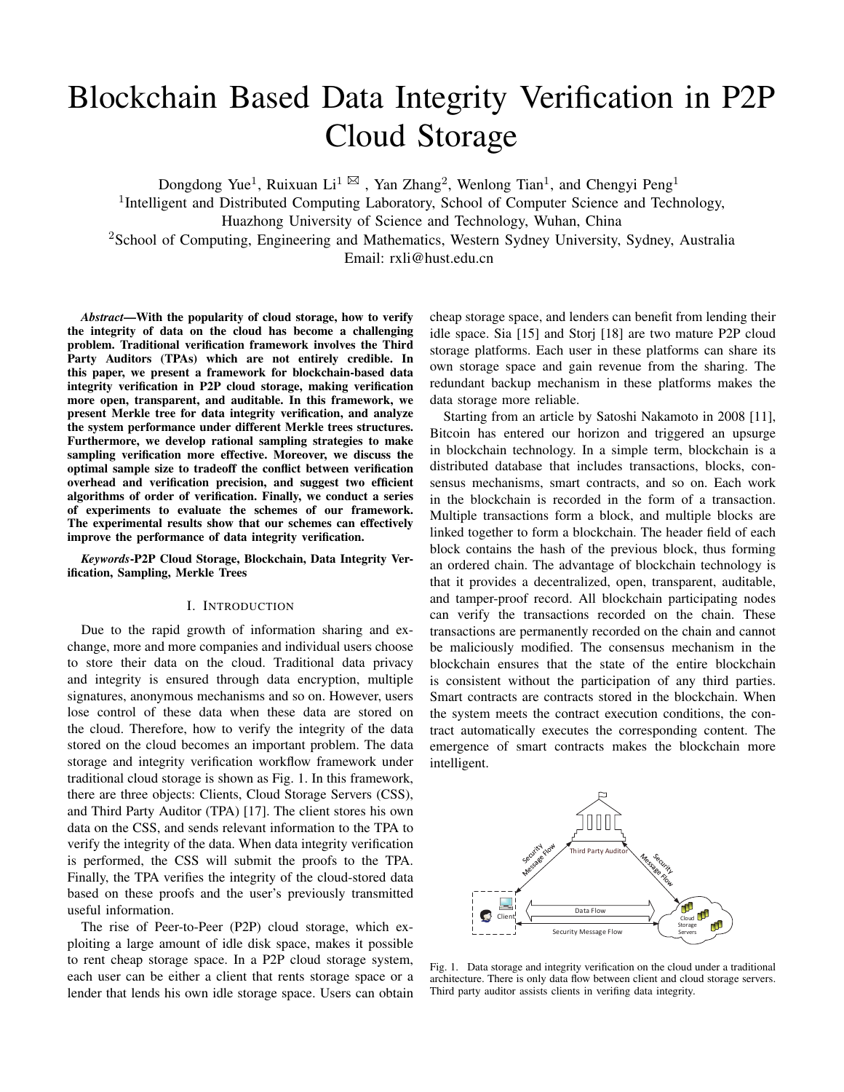# Blockchain Based Data Integrity Verification in P2P Cloud Storage

Dongdong Yue<sup>1</sup>, Ruixuan Li<sup>1</sup>  $\boxtimes$ , Yan Zhang<sup>2</sup>, Wenlong Tian<sup>1</sup>, and Chengyi Peng<sup>1</sup>

<sup>1</sup>Intelligent and Distributed Computing Laboratory, School of Computer Science and Technology,

Huazhong University of Science and Technology, Wuhan, China

<sup>2</sup>School of Computing, Engineering and Mathematics, Western Sydney University, Sydney, Australia

Email: rxli@hust.edu.cn

*Abstract*—With the popularity of cloud storage, how to verify the integrity of data on the cloud has become a challenging problem. Traditional verification framework involves the Third Party Auditors (TPAs) which are not entirely credible. In this paper, we present a framework for blockchain-based data integrity verification in P2P cloud storage, making verification more open, transparent, and auditable. In this framework, we present Merkle tree for data integrity verification, and analyze the system performance under different Merkle trees structures. Furthermore, we develop rational sampling strategies to make sampling verification more effective. Moreover, we discuss the optimal sample size to tradeoff the conflict between verification overhead and verification precision, and suggest two efficient algorithms of order of verification. Finally, we conduct a series of experiments to evaluate the schemes of our framework. The experimental results show that our schemes can effectively improve the performance of data integrity verification.

*Keywords*-P2P Cloud Storage, Blockchain, Data Integrity Verification, Sampling, Merkle Trees

# I. INTRODUCTION

Due to the rapid growth of information sharing and exchange, more and more companies and individual users choose to store their data on the cloud. Traditional data privacy and integrity is ensured through data encryption, multiple signatures, anonymous mechanisms and so on. However, users lose control of these data when these data are stored on the cloud. Therefore, how to verify the integrity of the data stored on the cloud becomes an important problem. The data storage and integrity verification workflow framework under traditional cloud storage is shown as Fig. 1. In this framework, there are three objects: Clients, Cloud Storage Servers (CSS), and Third Party Auditor (TPA) [17]. The client stores his own data on the CSS, and sends relevant information to the TPA to verify the integrity of the data. When data integrity verification is performed, the CSS will submit the proofs to the TPA. Finally, the TPA verifies the integrity of the cloud-stored data based on these proofs and the user's previously transmitted useful information.

The rise of Peer-to-Peer (P2P) cloud storage, which exploiting a large amount of idle disk space, makes it possible to rent cheap storage space. In a P2P cloud storage system, each user can be either a client that rents storage space or a lender that lends his own idle storage space. Users can obtain

cheap storage space, and lenders can benefit from lending their idle space. Sia [15] and Storj [18] are two mature P2P cloud storage platforms. Each user in these platforms can share its own storage space and gain revenue from the sharing. The redundant backup mechanism in these platforms makes the data storage more reliable.

Starting from an article by Satoshi Nakamoto in 2008 [11], Bitcoin has entered our horizon and triggered an upsurge in blockchain technology. In a simple term, blockchain is a distributed database that includes transactions, blocks, consensus mechanisms, smart contracts, and so on. Each work in the blockchain is recorded in the form of a transaction. Multiple transactions form a block, and multiple blocks are linked together to form a blockchain. The header field of each block contains the hash of the previous block, thus forming an ordered chain. The advantage of blockchain technology is that it provides a decentralized, open, transparent, auditable, and tamper-proof record. All blockchain participating nodes can verify the transactions recorded on the chain. These transactions are permanently recorded on the chain and cannot be maliciously modified. The consensus mechanism in the blockchain ensures that the state of the entire blockchain is consistent without the participation of any third parties. Smart contracts are contracts stored in the blockchain. When the system meets the contract execution conditions, the contract automatically executes the corresponding content. The emergence of smart contracts makes the blockchain more intelligent.



Fig. 1. Data storage and integrity verification on the cloud under a traditional architecture. There is only data flow between client and cloud storage servers. Third party auditor assists clients in verifing data integrity.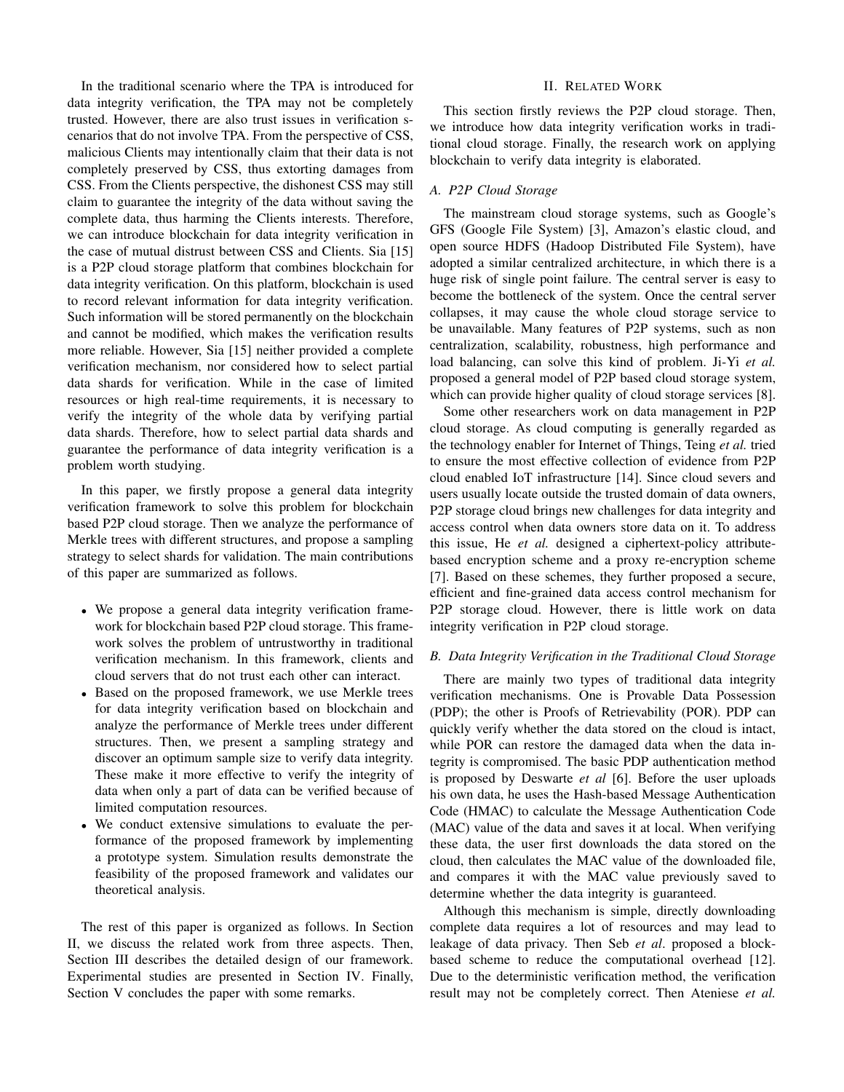In the traditional scenario where the TPA is introduced for data integrity verification, the TPA may not be completely trusted. However, there are also trust issues in verification scenarios that do not involve TPA. From the perspective of CSS, malicious Clients may intentionally claim that their data is not completely preserved by CSS, thus extorting damages from CSS. From the Clients perspective, the dishonest CSS may still claim to guarantee the integrity of the data without saving the complete data, thus harming the Clients interests. Therefore, we can introduce blockchain for data integrity verification in the case of mutual distrust between CSS and Clients. Sia [15] is a P2P cloud storage platform that combines blockchain for data integrity verification. On this platform, blockchain is used to record relevant information for data integrity verification. Such information will be stored permanently on the blockchain and cannot be modified, which makes the verification results more reliable. However, Sia [15] neither provided a complete verification mechanism, nor considered how to select partial data shards for verification. While in the case of limited resources or high real-time requirements, it is necessary to verify the integrity of the whole data by verifying partial data shards. Therefore, how to select partial data shards and guarantee the performance of data integrity verification is a problem worth studying.

In this paper, we firstly propose a general data integrity verification framework to solve this problem for blockchain based P2P cloud storage. Then we analyze the performance of Merkle trees with different structures, and propose a sampling strategy to select shards for validation. The main contributions of this paper are summarized as follows.

- We propose a general data integrity verification framework for blockchain based P2P cloud storage. This framework solves the problem of untrustworthy in traditional verification mechanism. In this framework, clients and cloud servers that do not trust each other can interact.
- Based on the proposed framework, we use Merkle trees for data integrity verification based on blockchain and analyze the performance of Merkle trees under different structures. Then, we present a sampling strategy and discover an optimum sample size to verify data integrity. These make it more effective to verify the integrity of data when only a part of data can be verified because of limited computation resources.
- We conduct extensive simulations to evaluate the performance of the proposed framework by implementing a prototype system. Simulation results demonstrate the feasibility of the proposed framework and validates our theoretical analysis.

The rest of this paper is organized as follows. In Section II, we discuss the related work from three aspects. Then, Section III describes the detailed design of our framework. Experimental studies are presented in Section IV. Finally, Section V concludes the paper with some remarks.

## II. RELATED WORK

This section firstly reviews the P2P cloud storage. Then, we introduce how data integrity verification works in traditional cloud storage. Finally, the research work on applying blockchain to verify data integrity is elaborated.

# *A. P2P Cloud Storage*

The mainstream cloud storage systems, such as Google's GFS (Google File System) [3], Amazon's elastic cloud, and open source HDFS (Hadoop Distributed File System), have adopted a similar centralized architecture, in which there is a huge risk of single point failure. The central server is easy to become the bottleneck of the system. Once the central server collapses, it may cause the whole cloud storage service to be unavailable. Many features of P2P systems, such as non centralization, scalability, robustness, high performance and load balancing, can solve this kind of problem. Ji-Yi *et al.* proposed a general model of P2P based cloud storage system, which can provide higher quality of cloud storage services [8].

Some other researchers work on data management in P2P cloud storage. As cloud computing is generally regarded as the technology enabler for Internet of Things, Teing *et al.* tried to ensure the most effective collection of evidence from P2P cloud enabled IoT infrastructure [14]. Since cloud severs and users usually locate outside the trusted domain of data owners, P2P storage cloud brings new challenges for data integrity and access control when data owners store data on it. To address this issue, He *et al.* designed a ciphertext-policy attributebased encryption scheme and a proxy re-encryption scheme [7]. Based on these schemes, they further proposed a secure, efficient and fine-grained data access control mechanism for P2P storage cloud. However, there is little work on data integrity verification in P2P cloud storage.

#### *B. Data Integrity Verification in the Traditional Cloud Storage*

There are mainly two types of traditional data integrity verification mechanisms. One is Provable Data Possession (PDP); the other is Proofs of Retrievability (POR). PDP can quickly verify whether the data stored on the cloud is intact, while POR can restore the damaged data when the data integrity is compromised. The basic PDP authentication method is proposed by Deswarte *et al* [6]. Before the user uploads his own data, he uses the Hash-based Message Authentication Code (HMAC) to calculate the Message Authentication Code (MAC) value of the data and saves it at local. When verifying these data, the user first downloads the data stored on the cloud, then calculates the MAC value of the downloaded file, and compares it with the MAC value previously saved to determine whether the data integrity is guaranteed.

Although this mechanism is simple, directly downloading complete data requires a lot of resources and may lead to leakage of data privacy. Then Seb *et al*. proposed a blockbased scheme to reduce the computational overhead [12]. Due to the deterministic verification method, the verification result may not be completely correct. Then Ateniese *et al.*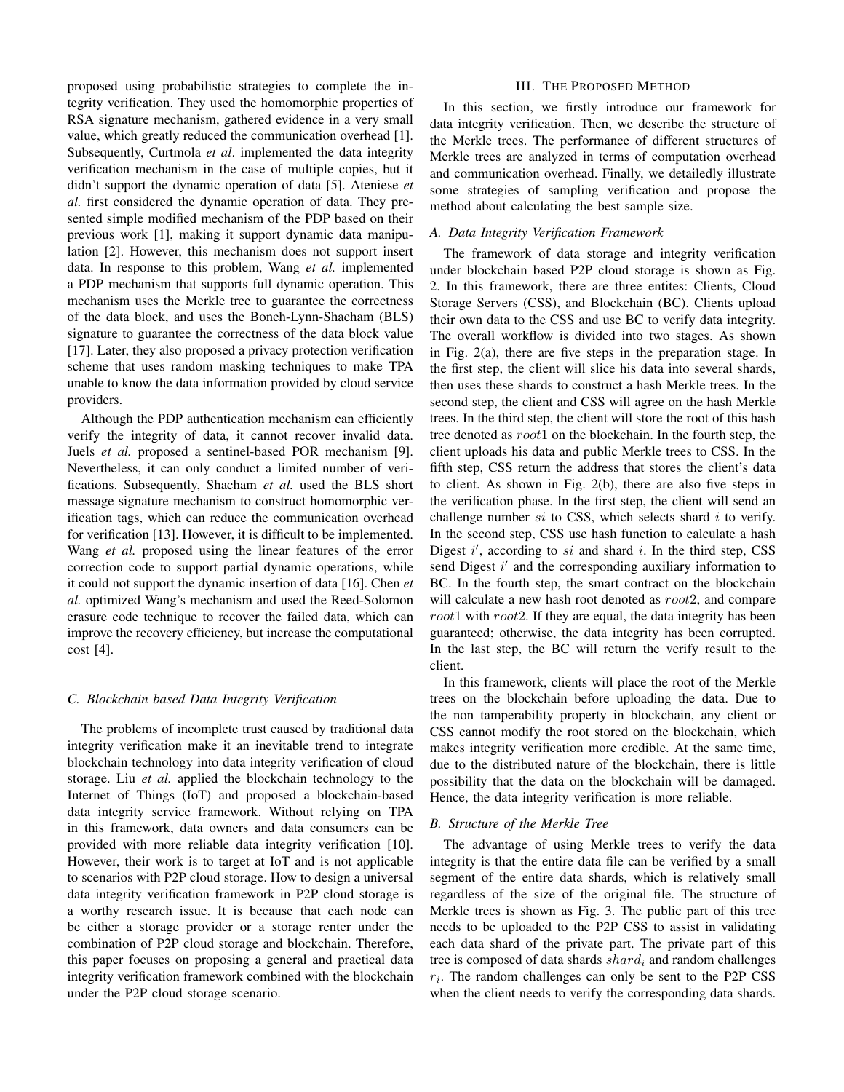proposed using probabilistic strategies to complete the integrity verification. They used the homomorphic properties of RSA signature mechanism, gathered evidence in a very small value, which greatly reduced the communication overhead [1]. Subsequently, Curtmola *et al*. implemented the data integrity verification mechanism in the case of multiple copies, but it didn't support the dynamic operation of data [5]. Ateniese *et al.* first considered the dynamic operation of data. They presented simple modified mechanism of the PDP based on their previous work [1], making it support dynamic data manipulation [2]. However, this mechanism does not support insert data. In response to this problem, Wang *et al.* implemented a PDP mechanism that supports full dynamic operation. This mechanism uses the Merkle tree to guarantee the correctness of the data block, and uses the Boneh-Lynn-Shacham (BLS) signature to guarantee the correctness of the data block value [17]. Later, they also proposed a privacy protection verification scheme that uses random masking techniques to make TPA unable to know the data information provided by cloud service providers.

Although the PDP authentication mechanism can efficiently verify the integrity of data, it cannot recover invalid data. Juels *et al.* proposed a sentinel-based POR mechanism [9]. Nevertheless, it can only conduct a limited number of verifications. Subsequently, Shacham *et al.* used the BLS short message signature mechanism to construct homomorphic verification tags, which can reduce the communication overhead for verification [13]. However, it is difficult to be implemented. Wang *et al.* proposed using the linear features of the error correction code to support partial dynamic operations, while it could not support the dynamic insertion of data [16]. Chen *et al.* optimized Wang's mechanism and used the Reed-Solomon erasure code technique to recover the failed data, which can improve the recovery efficiency, but increase the computational  $cost$  [4].

## *C. Blockchain based Data Integrity Verification*

The problems of incomplete trust caused by traditional data integrity verification make it an inevitable trend to integrate blockchain technology into data integrity verification of cloud storage. Liu *et al.* applied the blockchain technology to the Internet of Things (IoT) and proposed a blockchain-based data integrity service framework. Without relying on TPA in this framework, data owners and data consumers can be provided with more reliable data integrity verification [10]. However, their work is to target at IoT and is not applicable to scenarios with P2P cloud storage. How to design a universal data integrity verification framework in P2P cloud storage is a worthy research issue. It is because that each node can be either a storage provider or a storage renter under the combination of P2P cloud storage and blockchain. Therefore, this paper focuses on proposing a general and practical data integrity verification framework combined with the blockchain under the P2P cloud storage scenario.

#### III. THE PROPOSED METHOD

In this section, we firstly introduce our framework for data integrity verification. Then, we describe the structure of the Merkle trees. The performance of different structures of Merkle trees are analyzed in terms of computation overhead and communication overhead. Finally, we detailedly illustrate some strategies of sampling verification and propose the method about calculating the best sample size.

### *A. Data Integrity Verification Framework*

The framework of data storage and integrity verification under blockchain based P2P cloud storage is shown as Fig. 2. In this framework, there are three entites: Clients, Cloud Storage Servers (CSS), and Blockchain (BC). Clients upload their own data to the CSS and use BC to verify data integrity. The overall workflow is divided into two stages. As shown in Fig. 2(a), there are five steps in the preparation stage. In the first step, the client will slice his data into several shards, then uses these shards to construct a hash Merkle trees. In the second step, the client and CSS will agree on the hash Merkle trees. In the third step, the client will store the root of this hash tree denoted as root1 on the blockchain. In the fourth step, the client uploads his data and public Merkle trees to CSS. In the fifth step, CSS return the address that stores the client's data to client. As shown in Fig. 2(b), there are also five steps in the verification phase. In the first step, the client will send an challenge number  $si$  to CSS, which selects shard  $i$  to verify. In the second step, CSS use hash function to calculate a hash Digest  $i'$ , according to si and shard i. In the third step, CSS send Digest  $i'$  and the corresponding auxiliary information to BC. In the fourth step, the smart contract on the blockchain will calculate a new hash root denoted as  $root2$ , and compare  $root1$  with  $root2$ . If they are equal, the data integrity has been guaranteed; otherwise, the data integrity has been corrupted. In the last step, the BC will return the verify result to the client.

In this framework, clients will place the root of the Merkle trees on the blockchain before uploading the data. Due to the non tamperability property in blockchain, any client or CSS cannot modify the root stored on the blockchain, which makes integrity verification more credible. At the same time, due to the distributed nature of the blockchain, there is little possibility that the data on the blockchain will be damaged. Hence, the data integrity verification is more reliable.

## *B. Structure of the Merkle Tree*

The advantage of using Merkle trees to verify the data integrity is that the entire data file can be verified by a small segment of the entire data shards, which is relatively small regardless of the size of the original file. The structure of Merkle trees is shown as Fig. 3. The public part of this tree needs to be uploaded to the P2P CSS to assist in validating each data shard of the private part. The private part of this tree is composed of data shards  $shard_i$  and random challenges  $r_i$ . The random challenges can only be sent to the P2P CSS when the client needs to verify the corresponding data shards.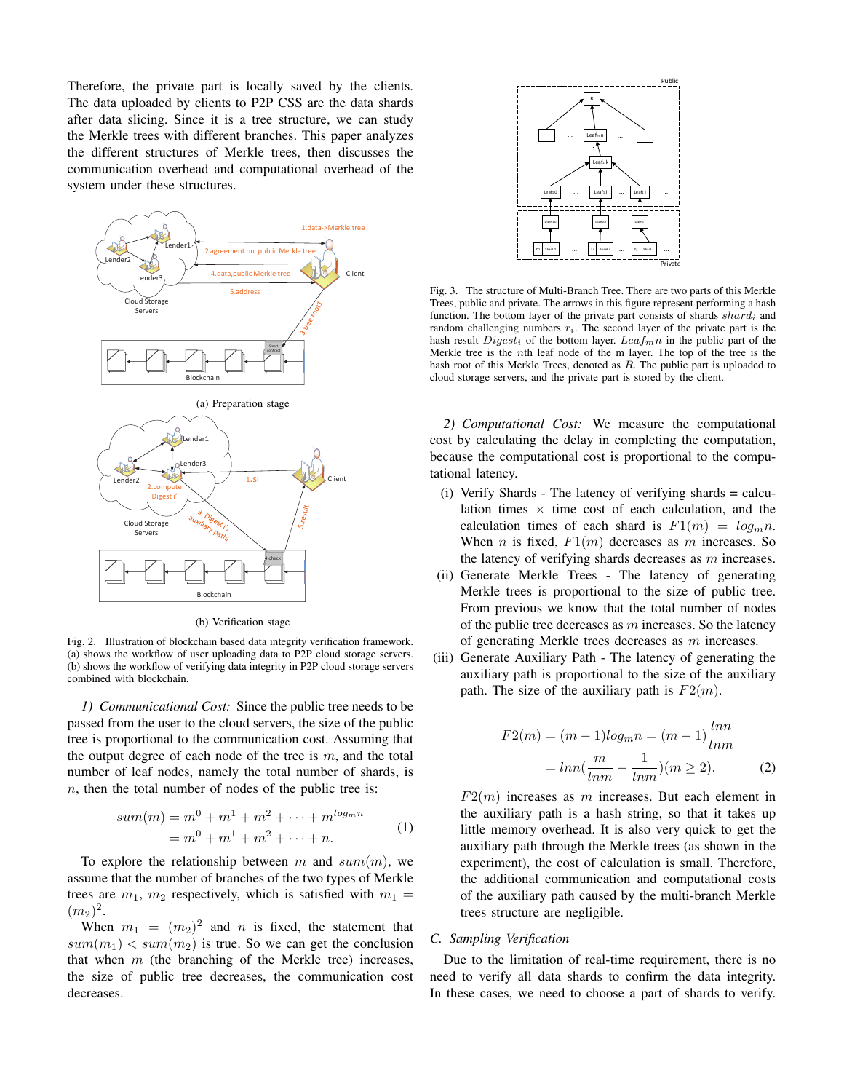Therefore, the private part is locally saved by the clients. The data uploaded by clients to P2P CSS are the data shards after data slicing. Since it is a tree structure, we can study the Merkle trees with different branches. This paper analyzes the different structures of Merkle trees, then discusses the communication overhead and computational overhead of the system under these structures.



(b) Verification stage

Fig. 2. Illustration of blockchain based data integrity verification framework. (a) shows the workflow of user uploading data to P2P cloud storage servers. (b) shows the workflow of verifying data integrity in P2P cloud storage servers combined with blockchain.

*1) Communicational Cost:* Since the public tree needs to be passed from the user to the cloud servers, the size of the public tree is proportional to the communication cost. Assuming that the output degree of each node of the tree is  $m$ , and the total number of leaf nodes, namely the total number of shards, is  $n$ , then the total number of nodes of the public tree is:

$$
sum(m) = m^{0} + m^{1} + m^{2} + \dots + m^{log_{m}n}
$$
  
=  $m^{0} + m^{1} + m^{2} + \dots + n$ . (1)

To explore the relationship between m and  $sum(m)$ , we assume that the number of branches of the two types of Merkle trees are  $m_1$ ,  $m_2$  respectively, which is satisfied with  $m_1 =$  $(m_2)^2$ .

When  $m_1 = (m_2)^2$  and n is fixed, the statement that  $sum(m_1)$  <  $sum(m_2)$  is true. So we can get the conclusion that when  $m$  (the branching of the Merkle tree) increases, the size of public tree decreases, the communication cost decreases.



Fig. 3. The structure of Multi-Branch Tree. There are two parts of this Merkle Trees, public and private. The arrows in this figure represent performing a hash function. The bottom layer of the private part consists of shards  $shard_i$  and random challenging numbers  $r_i$ . The second layer of the private part is the hash result  $Digest_i$  of the bottom layer.  $Leaf_m n$  in the public part of the Merkle tree is the nth leaf node of the m layer. The top of the tree is the hash root of this Merkle Trees, denoted as R. The public part is uploaded to cloud storage servers, and the private part is stored by the client.

*2) Computational Cost:* We measure the computational cost by calculating the delay in completing the computation, because the computational cost is proportional to the computational latency.

- (i) Verify Shards The latency of verifying shards = calculation times  $\times$  time cost of each calculation, and the calculation times of each shard is  $F1(m) = log_m n$ . When *n* is fixed,  $F1(m)$  decreases as *m* increases. So the latency of verifying shards decreases as  $m$  increases.
- (ii) Generate Merkle Trees The latency of generating Merkle trees is proportional to the size of public tree. From previous we know that the total number of nodes of the public tree decreases as  $m$  increases. So the latency of generating Merkle trees decreases as m increases.
- (iii) Generate Auxiliary Path The latency of generating the auxiliary path is proportional to the size of the auxiliary path. The size of the auxiliary path is  $F2(m)$ .

$$
F2(m) = (m-1)log_m n = (m-1)\frac{lnn}{lnm}
$$

$$
= lnn(\frac{m}{lnm} - \frac{1}{lnm})(m \ge 2).
$$
 (2)

 $F2(m)$  increases as m increases. But each element in the auxiliary path is a hash string, so that it takes up little memory overhead. It is also very quick to get the auxiliary path through the Merkle trees (as shown in the experiment), the cost of calculation is small. Therefore, the additional communication and computational costs of the auxiliary path caused by the multi-branch Merkle trees structure are negligible.

# *C. Sampling Verification*

Due to the limitation of real-time requirement, there is no need to verify all data shards to confirm the data integrity. In these cases, we need to choose a part of shards to verify.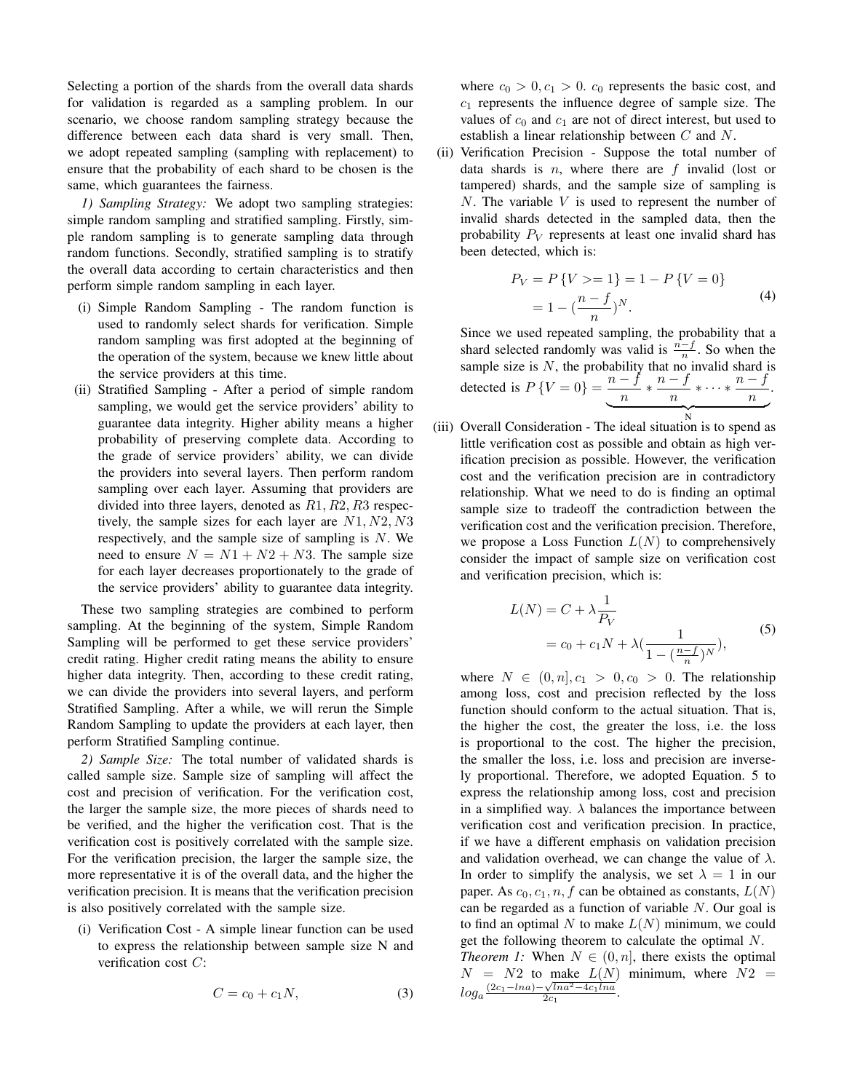Selecting a portion of the shards from the overall data shards for validation is regarded as a sampling problem. In our scenario, we choose random sampling strategy because the difference between each data shard is very small. Then, we adopt repeated sampling (sampling with replacement) to ensure that the probability of each shard to be chosen is the same, which guarantees the fairness.

*1) Sampling Strategy:* We adopt two sampling strategies: simple random sampling and stratified sampling. Firstly, simple random sampling is to generate sampling data through random functions. Secondly, stratified sampling is to stratify the overall data according to certain characteristics and then perform simple random sampling in each layer.

- (i) Simple Random Sampling The random function is used to randomly select shards for verification. Simple random sampling was first adopted at the beginning of the operation of the system, because we knew little about the service providers at this time.
- (ii) Stratified Sampling After a period of simple random sampling, we would get the service providers' ability to guarantee data integrity. Higher ability means a higher probability of preserving complete data. According to the grade of service providers' ability, we can divide the providers into several layers. Then perform random sampling over each layer. Assuming that providers are divided into three layers, denoted as R1, R2, R3 respectively, the sample sizes for each layer are  $N1, N2, N3$ respectively, and the sample size of sampling is  $N$ . We need to ensure  $N = N1 + N2 + N3$ . The sample size for each layer decreases proportionately to the grade of the service providers' ability to guarantee data integrity.

These two sampling strategies are combined to perform sampling. At the beginning of the system, Simple Random Sampling will be performed to get these service providers' credit rating. Higher credit rating means the ability to ensure higher data integrity. Then, according to these credit rating, we can divide the providers into several layers, and perform Stratified Sampling. After a while, we will rerun the Simple Random Sampling to update the providers at each layer, then perform Stratified Sampling continue.

*2) Sample Size:* The total number of validated shards is called sample size. Sample size of sampling will affect the cost and precision of verification. For the verification cost, the larger the sample size, the more pieces of shards need to be verified, and the higher the verification cost. That is the verification cost is positively correlated with the sample size. For the verification precision, the larger the sample size, the more representative it is of the overall data, and the higher the verification precision. It is means that the verification precision is also positively correlated with the sample size.

(i) Verification Cost - A simple linear function can be used to express the relationship between sample size N and verification cost C:

$$
C = c_0 + c_1 N,\t\t(3)
$$

where  $c_0 > 0, c_1 > 0$ .  $c_0$  represents the basic cost, and  $c_1$  represents the influence degree of sample size. The values of  $c_0$  and  $c_1$  are not of direct interest, but used to establish a linear relationship between C and N.

(ii) Verification Precision - Suppose the total number of data shards is  $n$ , where there are  $f$  invalid (lost or tampered) shards, and the sample size of sampling is  $N$ . The variable  $V$  is used to represent the number of invalid shards detected in the sampled data, then the probability  $P_V$  represents at least one invalid shard has been detected, which is:

$$
P_V = P\{V \ge 1\} = 1 - P\{V = 0\}
$$
  
=  $1 - \left(\frac{n - f}{n}\right)^N$ . (4)

Since we used repeated sampling, the probability that a shard selected randomly was valid is  $\frac{n-f}{n}$ . So when the share selected randomly was valid is  $\binom{n}{n}$ . So when the sample size is N, the probability that no invalid shard is detected is  $P\{V=0\} = \frac{n-f}{\sqrt{n}}$  $\frac{-f}{n} * \frac{n-f}{n}$  $\frac{-f}{n} * \cdots * \frac{n-f}{n}$ n  $\overbrace{N}$ .

(iii) Overall Consideration - The ideal situation is to spend as little verification cost as possible and obtain as high verification precision as possible. However, the verification cost and the verification precision are in contradictory relationship. What we need to do is finding an optimal sample size to tradeoff the contradiction between the verification cost and the verification precision. Therefore, we propose a Loss Function  $L(N)$  to comprehensively consider the impact of sample size on verification cost and verification precision, which is:

$$
L(N) = C + \lambda \frac{1}{P_V} = c_0 + c_1 N + \lambda \left( \frac{1}{1 - (\frac{n - f}{n})^N} \right),
$$
 (5)

where  $N \in (0, n], c_1 > 0, c_0 > 0$ . The relationship among loss, cost and precision reflected by the loss function should conform to the actual situation. That is, the higher the cost, the greater the loss, i.e. the loss is proportional to the cost. The higher the precision, the smaller the loss, i.e. loss and precision are inversely proportional. Therefore, we adopted Equation. 5 to express the relationship among loss, cost and precision in a simplified way.  $\lambda$  balances the importance between verification cost and verification precision. In practice, if we have a different emphasis on validation precision and validation overhead, we can change the value of  $\lambda$ . In order to simplify the analysis, we set  $\lambda = 1$  in our paper. As  $c_0, c_1, n, f$  can be obtained as constants,  $L(N)$ can be regarded as a function of variable N. Our goal is to find an optimal N to make  $L(N)$  minimum, we could get the following theorem to calculate the optimal N. *Theorem 1:* When  $N \in (0, n]$ , there exists the optimal  $N = N2$  to make  $L(N)$  minimum, where  $N2 =$  $log_a \frac{(2c_1 - lna) - \sqrt{lna^2 - 4c_1lna}}{2c_1}$  $\frac{\sqrt{lna^2-4c_1lna}}{2c_1}.$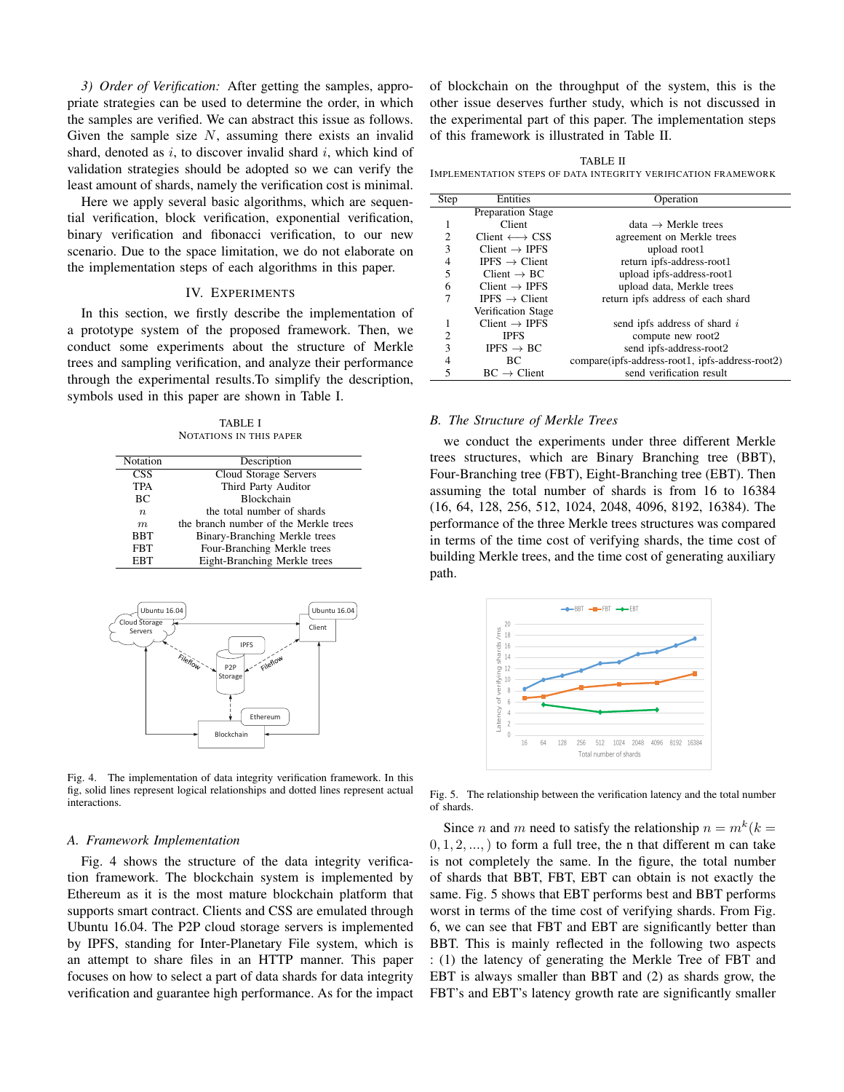*3) Order of Verification:* After getting the samples, appropriate strategies can be used to determine the order, in which the samples are verified. We can abstract this issue as follows. Given the sample size  $N$ , assuming there exists an invalid shard, denoted as  $i$ , to discover invalid shard  $i$ , which kind of validation strategies should be adopted so we can verify the least amount of shards, namely the verification cost is minimal.

Here we apply several basic algorithms, which are sequential verification, block verification, exponential verification, binary verification and fibonacci verification, to our new scenario. Due to the space limitation, we do not elaborate on the implementation steps of each algorithms in this paper.

## IV. EXPERIMENTS

In this section, we firstly describe the implementation of a prototype system of the proposed framework. Then, we conduct some experiments about the structure of Merkle trees and sampling verification, and analyze their performance through the experimental results.To simplify the description, symbols used in this paper are shown in Table I.

TABLE I NOTATIONS IN THIS PAPER

| Notation    | Description                           |
|-------------|---------------------------------------|
| <b>CSS</b>  | Cloud Storage Servers                 |
| <b>TPA</b>  | Third Party Auditor                   |
| BC          | <b>Blockchain</b>                     |
| $n_{\cdot}$ | the total number of shards            |
| m           | the branch number of the Merkle trees |
| <b>BBT</b>  | Binary-Branching Merkle trees         |
| <b>FBT</b>  | Four-Branching Merkle trees           |
| <b>EBT</b>  | Eight-Branching Merkle trees          |
|             |                                       |



Fig. 4. The implementation of data integrity verification framework. In this fig, solid lines represent logical relationships and dotted lines represent actual interactions.

## *A. Framework Implementation*

Fig. 4 shows the structure of the data integrity verification framework. The blockchain system is implemented by Ethereum as it is the most mature blockchain platform that supports smart contract. Clients and CSS are emulated through Ubuntu 16.04. The P2P cloud storage servers is implemented by IPFS, standing for Inter-Planetary File system, which is an attempt to share files in an HTTP manner. This paper focuses on how to select a part of data shards for data integrity verification and guarantee high performance. As for the impact

of blockchain on the throughput of the system, this is the other issue deserves further study, which is not discussed in the experimental part of this paper. The implementation steps of this framework is illustrated in Table II.

TABLE II IMPLEMENTATION STEPS OF DATA INTEGRITY VERIFICATION FRAMEWORK

| Step                     | Entities                         | Operation                                       |
|--------------------------|----------------------------------|-------------------------------------------------|
|                          | <b>Preparation Stage</b>         |                                                 |
|                          | Client                           | $data \rightarrow$ Merkle trees                 |
| $\overline{c}$           | $Client \longleftrightarrow CSS$ | agreement on Merkle trees                       |
| 3                        | Client $\rightarrow$ IPFS        | upload root1                                    |
| $\overline{4}$           | <b>IPFS</b> $\rightarrow$ Client | return ipfs-address-root1                       |
| 5                        | Client $\rightarrow BC$          | upload ipfs-address-root1                       |
| 6                        | Client $\rightarrow$ IPFS        | upload data, Merkle trees                       |
| 7                        | <b>IPFS</b> $\rightarrow$ Client | return ipfs address of each shard               |
|                          | Verification Stage               |                                                 |
|                          | $Client \rightarrow IPFS$        | send ipfs address of shard i                    |
| 2                        | <b>IPFS</b>                      | compute new root2                               |
| $\mathcal{E}$            | IPFS $\rightarrow$ BC            | send ipfs-address-root2                         |
| 4                        | BС                               | compare(ipfs-address-root1, ipfs-address-root2) |
| $\overline{\phantom{0}}$ | $BC \rightarrow Client$          | send verification result                        |

## *B. The Structure of Merkle Trees*

we conduct the experiments under three different Merkle trees structures, which are Binary Branching tree (BBT), Four-Branching tree (FBT), Eight-Branching tree (EBT). Then assuming the total number of shards is from 16 to 16384 (16, 64, 128, 256, 512, 1024, 2048, 4096, 8192, 16384). The performance of the three Merkle trees structures was compared in terms of the time cost of verifying shards, the time cost of building Merkle trees, and the time cost of generating auxiliary path.



Fig. 5. The relationship between the verification latency and the total number of shards.

Since *n* and *m* need to satisfy the relationship  $n = m^k (k =$  $(0, 1, 2, \ldots)$  to form a full tree, the n that different m can take is not completely the same. In the figure, the total number of shards that BBT, FBT, EBT can obtain is not exactly the same. Fig. 5 shows that EBT performs best and BBT performs worst in terms of the time cost of verifying shards. From Fig. 6, we can see that FBT and EBT are significantly better than BBT. This is mainly reflected in the following two aspects : (1) the latency of generating the Merkle Tree of FBT and EBT is always smaller than BBT and (2) as shards grow, the FBT's and EBT's latency growth rate are significantly smaller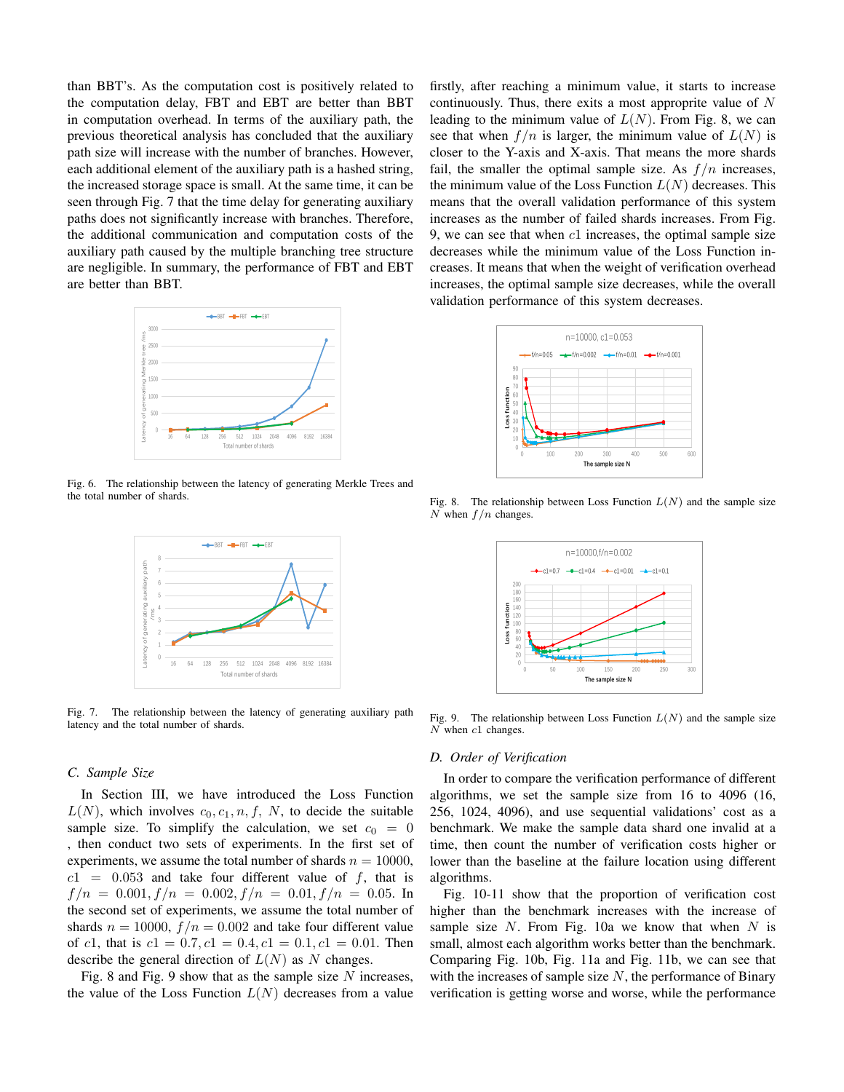than BBT's. As the computation cost is positively related to the computation delay, FBT and EBT are better than BBT in computation overhead. In terms of the auxiliary path, the previous theoretical analysis has concluded that the auxiliary path size will increase with the number of branches. However, each additional element of the auxiliary path is a hashed string, the increased storage space is small. At the same time, it can be seen through Fig. 7 that the time delay for generating auxiliary paths does not significantly increase with branches. Therefore, the additional communication and computation costs of the auxiliary path caused by the multiple branching tree structure are negligible. In summary, the performance of FBT and EBT are better than BBT.



Fig. 6. The relationship between the latency of generating Merkle Trees and the total number of shards.



Fig. 7. The relationship between the latency of generating auxiliary path latency and the total number of shards.

# *C. Sample Size*

In Section III, we have introduced the Loss Function  $L(N)$ , which involves  $c_0, c_1, n, f, N$ , to decide the suitable sample size. To simplify the calculation, we set  $c_0 = 0$ , then conduct two sets of experiments. In the first set of experiments, we assume the total number of shards  $n = 10000$ ,  $c1 = 0.053$  and take four different value of f, that is  $f/n = 0.001, f/n = 0.002, f/n = 0.01, f/n = 0.05$ . In the second set of experiments, we assume the total number of shards  $n = 10000$ ,  $f/n = 0.002$  and take four different value of c1, that is  $c1 = 0.7$ ,  $c1 = 0.4$ ,  $c1 = 0.1$ ,  $c1 = 0.01$ . Then describe the general direction of  $L(N)$  as N changes.

Fig. 8 and Fig. 9 show that as the sample size  $N$  increases, the value of the Loss Function  $L(N)$  decreases from a value firstly, after reaching a minimum value, it starts to increase continuously. Thus, there exits a most approprite value of N leading to the minimum value of  $L(N)$ . From Fig. 8, we can see that when  $f/n$  is larger, the minimum value of  $L(N)$  is closer to the Y-axis and X-axis. That means the more shards fail, the smaller the optimal sample size. As  $f/n$  increases, the minimum value of the Loss Function  $L(N)$  decreases. This means that the overall validation performance of this system increases as the number of failed shards increases. From Fig. 9, we can see that when  $c1$  increases, the optimal sample size decreases while the minimum value of the Loss Function increases. It means that when the weight of verification overhead increases, the optimal sample size decreases, while the overall validation performance of this system decreases.



Fig. 8. The relationship between Loss Function  $L(N)$  and the sample size N when  $f/n$  changes.



Fig. 9. The relationship between Loss Function  $L(N)$  and the sample size N when c1 changes.

## *D. Order of Verification*

In order to compare the verification performance of different algorithms, we set the sample size from 16 to 4096 (16, 256, 1024, 4096), and use sequential validations' cost as a benchmark. We make the sample data shard one invalid at a time, then count the number of verification costs higher or lower than the baseline at the failure location using different algorithms.

Fig. 10-11 show that the proportion of verification cost higher than the benchmark increases with the increase of sample size  $N$ . From Fig. 10a we know that when  $N$  is small, almost each algorithm works better than the benchmark. Comparing Fig. 10b, Fig. 11a and Fig. 11b, we can see that with the increases of sample size  $N$ , the performance of Binary verification is getting worse and worse, while the performance